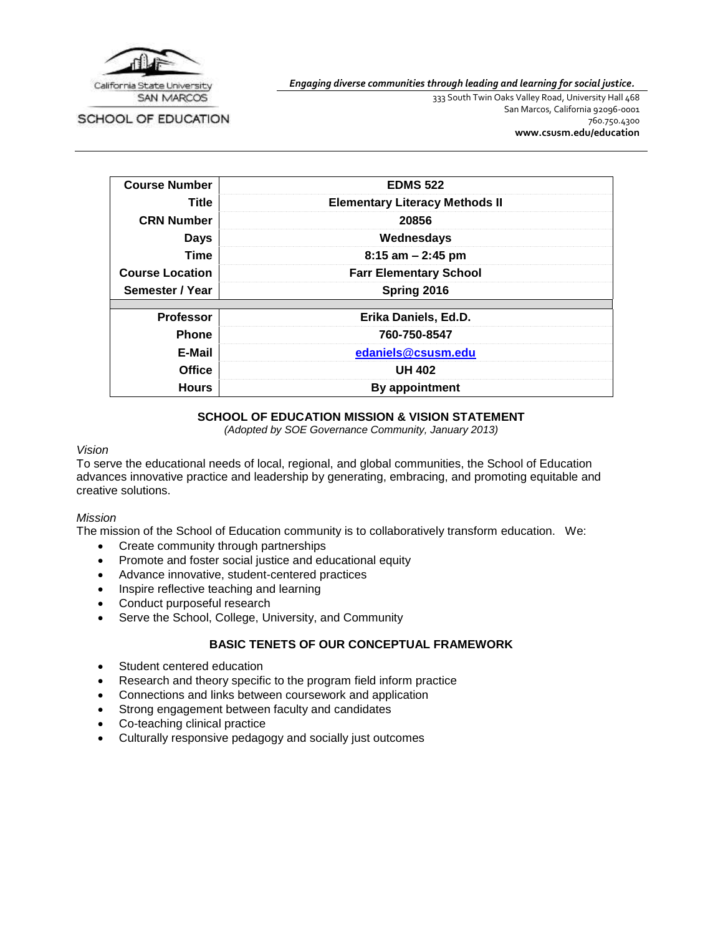

SCHOOL OF EDUCATION

*Engaging diverse communities through leading and learning for social justice.*

333 South Twin Oaks Valley Road, University Hall 468 San Marcos, California 92096-0001 760.750.4300 **[www.csusm.edu/education](http://www.csusm.edu/education)**

| <b>Course Number</b>   | <b>EDMS 522</b>                       |  |
|------------------------|---------------------------------------|--|
| Title                  | <b>Elementary Literacy Methods II</b> |  |
| <b>CRN Number</b>      | 20856                                 |  |
| <b>Days</b>            | Wednesdays                            |  |
| Time                   | $8:15$ am $-2:45$ pm                  |  |
| <b>Course Location</b> | <b>Farr Elementary School</b>         |  |
| Semester / Year        | Spring 2016                           |  |
|                        |                                       |  |
| <b>Professor</b>       | Erika Daniels, Ed.D.                  |  |
| <b>Phone</b>           | 760-750-8547                          |  |
| E-Mail                 | edaniels@csusm.edu                    |  |
| <b>Office</b>          | <b>UH 402</b>                         |  |
| <b>Hours</b>           | <b>By appointment</b>                 |  |

## **SCHOOL OF EDUCATION MISSION & VISION STATEMENT**

*(Adopted by SOE Governance Community, January 2013)*

#### *Vision*

To serve the educational needs of local, regional, and global communities, the School of Education advances innovative practice and leadership by generating, embracing, and promoting equitable and creative solutions.

#### *Mission*

The mission of the School of Education community is to collaboratively transform education. We:

- Create community through partnerships
- Promote and foster social justice and educational equity
- Advance innovative, student-centered practices
- Inspire reflective teaching and learning
- Conduct purposeful research
- Serve the School, College, University, and Community

## **BASIC TENETS OF OUR CONCEPTUAL FRAMEWORK**

- Student centered education
- Research and theory specific to the program field inform practice
- Connections and links between coursework and application
- Strong engagement between faculty and candidates
- Co-teaching clinical practice
- Culturally responsive pedagogy and socially just outcomes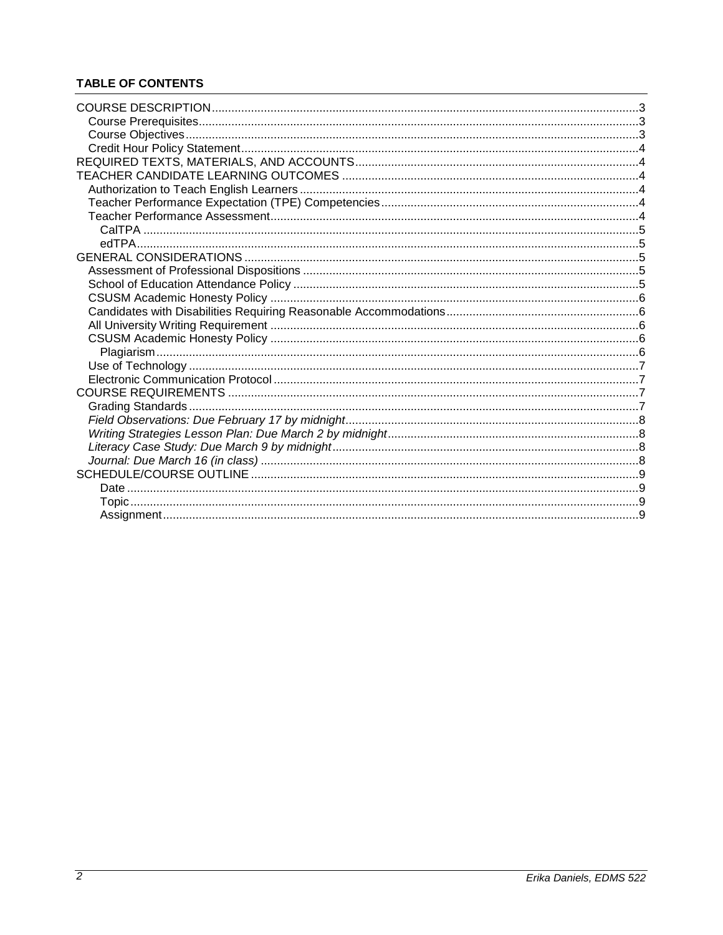# **TABLE OF CONTENTS**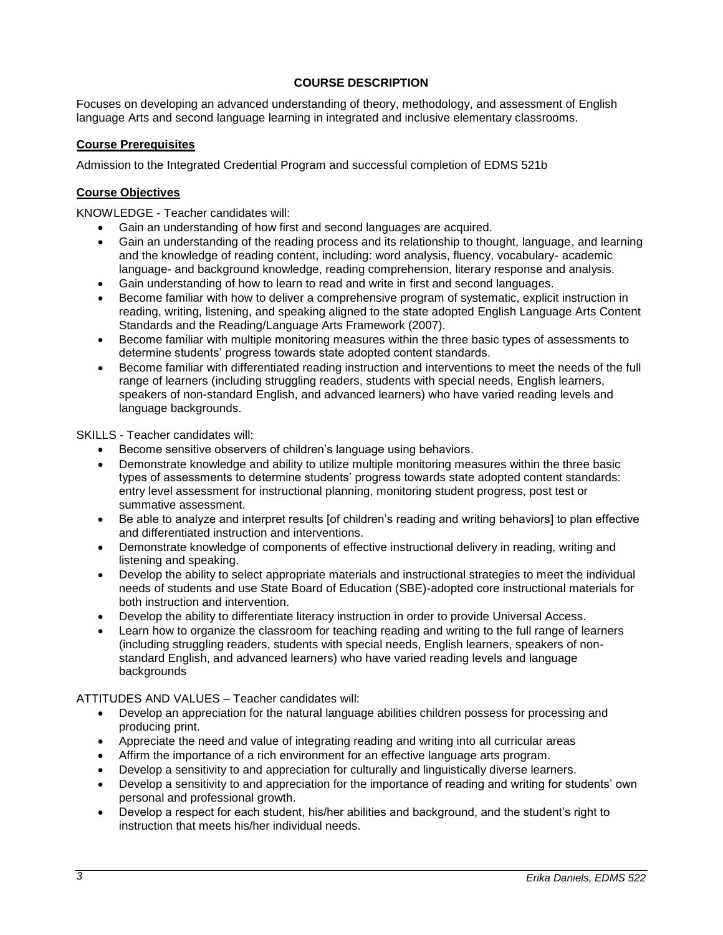## **COURSE DESCRIPTION**

<span id="page-2-0"></span>Focuses on developing an advanced understanding of theory, methodology, and assessment of English language Arts and second language learning in integrated and inclusive elementary classrooms.

### <span id="page-2-1"></span>**Course Prerequisites**

Admission to the Integrated Credential Program and successful completion of EDMS 521b

### <span id="page-2-2"></span>**Course Objectives**

KNOWLEDGE - Teacher candidates will:

- Gain an understanding of how first and second languages are acquired.
- Gain an understanding of the reading process and its relationship to thought, language, and learning and the knowledge of reading content, including: word analysis, fluency, vocabulary- academic language- and background knowledge, reading comprehension, literary response and analysis.
- Gain understanding of how to learn to read and write in first and second languages.
- Become familiar with how to deliver a comprehensive program of systematic, explicit instruction in reading, writing, listening, and speaking aligned to the state adopted English Language Arts Content Standards and the Reading/Language Arts Framework (2007).
- Become familiar with multiple monitoring measures within the three basic types of assessments to determine students' progress towards state adopted content standards.
- Become familiar with differentiated reading instruction and interventions to meet the needs of the full range of learners (including struggling readers, students with special needs, English learners, speakers of non-standard English, and advanced learners) who have varied reading levels and language backgrounds.

SKILLS - Teacher candidates will:

- Become sensitive observers of children's language using behaviors.
- Demonstrate knowledge and ability to utilize multiple monitoring measures within the three basic types of assessments to determine students' progress towards state adopted content standards: entry level assessment for instructional planning, monitoring student progress, post test or summative assessment.
- Be able to analyze and interpret results [of children's reading and writing behaviors] to plan effective and differentiated instruction and interventions.
- Demonstrate knowledge of components of effective instructional delivery in reading, writing and listening and speaking.
- Develop the ability to select appropriate materials and instructional strategies to meet the individual needs of students and use State Board of Education (SBE)-adopted core instructional materials for both instruction and intervention.
- Develop the ability to differentiate literacy instruction in order to provide Universal Access.
- Learn how to organize the classroom for teaching reading and writing to the full range of learners (including struggling readers, students with special needs, English learners, speakers of nonstandard English, and advanced learners) who have varied reading levels and language backgrounds

ATTITUDES AND VALUES – Teacher candidates will:

- Develop an appreciation for the natural language abilities children possess for processing and producing print.
- Appreciate the need and value of integrating reading and writing into all curricular areas
- Affirm the importance of a rich environment for an effective language arts program.
- Develop a sensitivity to and appreciation for culturally and linguistically diverse learners.
- Develop a sensitivity to and appreciation for the importance of reading and writing for students' own personal and professional growth.
- Develop a respect for each student, his/her abilities and background, and the student's right to instruction that meets his/her individual needs.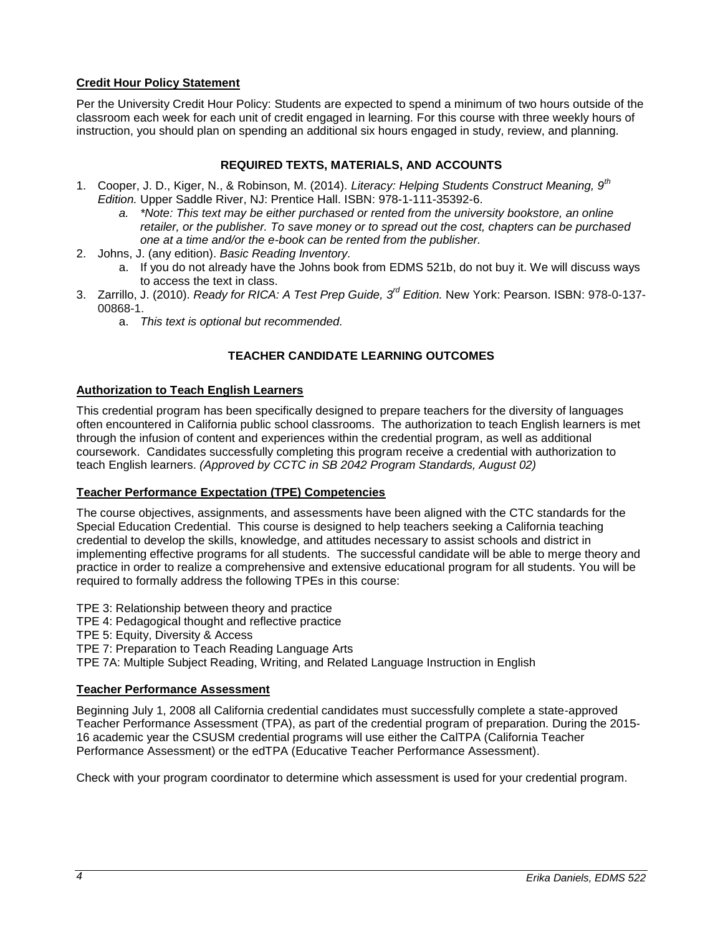## <span id="page-3-0"></span>**Credit Hour Policy Statement**

Per the University Credit Hour Policy: Students are expected to spend a minimum of two hours outside of the classroom each week for each unit of credit engaged in learning. For this course with three weekly hours of instruction, you should plan on spending an additional six hours engaged in study, review, and planning.

## **REQUIRED TEXTS, MATERIALS, AND ACCOUNTS**

- <span id="page-3-1"></span>1. Cooper, J. D., Kiger, N., & Robinson, M. (2014). *Literacy: Helping Students Construct Meaning, 9th Edition.* Upper Saddle River, NJ: Prentice Hall. ISBN: 978-1-111-35392-6.
	- *a. \*Note: This text may be either purchased or rented from the university bookstore, an online retailer, or the publisher. To save money or to spread out the cost, chapters can be purchased one at a time and/or the e-book can be rented from the publisher.*
- 2. Johns, J. (any edition). *Basic Reading Inventory.*
	- a. If you do not already have the Johns book from EDMS 521b, do not buy it. We will discuss ways to access the text in class.
- 3. Zarrillo, J. (2010). *Ready for RICA: A Test Prep Guide, 3rd Edition.* New York: Pearson. ISBN: 978-0-137- 00868-1.
	- a. *This text is optional but recommended.*

## **TEACHER CANDIDATE LEARNING OUTCOMES**

## <span id="page-3-3"></span><span id="page-3-2"></span>**Authorization to Teach English Learners**

This credential program has been specifically designed to prepare teachers for the diversity of languages often encountered in California public school classrooms. The authorization to teach English learners is met through the infusion of content and experiences within the credential program, as well as additional coursework. Candidates successfully completing this program receive a credential with authorization to teach English learners. *(Approved by CCTC in SB 2042 Program Standards, August 02)*

## <span id="page-3-4"></span>**Teacher Performance Expectation (TPE) Competencies**

The course objectives, assignments, and assessments have been aligned with the CTC standards for the Special Education Credential. This course is designed to help teachers seeking a California teaching credential to develop the skills, knowledge, and attitudes necessary to assist schools and district in implementing effective programs for all students. The successful candidate will be able to merge theory and practice in order to realize a comprehensive and extensive educational program for all students. You will be required to formally address the following TPEs in this course:

TPE 3: Relationship between theory and practice

TPE 4: Pedagogical thought and reflective practice

TPE 5: Equity, Diversity & Access

TPE 7: Preparation to Teach Reading Language Arts

TPE 7A: Multiple Subject Reading, Writing, and Related Language Instruction in English

## <span id="page-3-5"></span>**Teacher Performance Assessment**

Beginning July 1, 2008 all California credential candidates must successfully complete a state-approved Teacher Performance Assessment (TPA), as part of the credential program of preparation. During the 2015- 16 academic year the CSUSM credential programs will use either the CalTPA (California Teacher Performance Assessment) or the edTPA (Educative Teacher Performance Assessment).

Check with your program coordinator to determine which assessment is used for your credential program.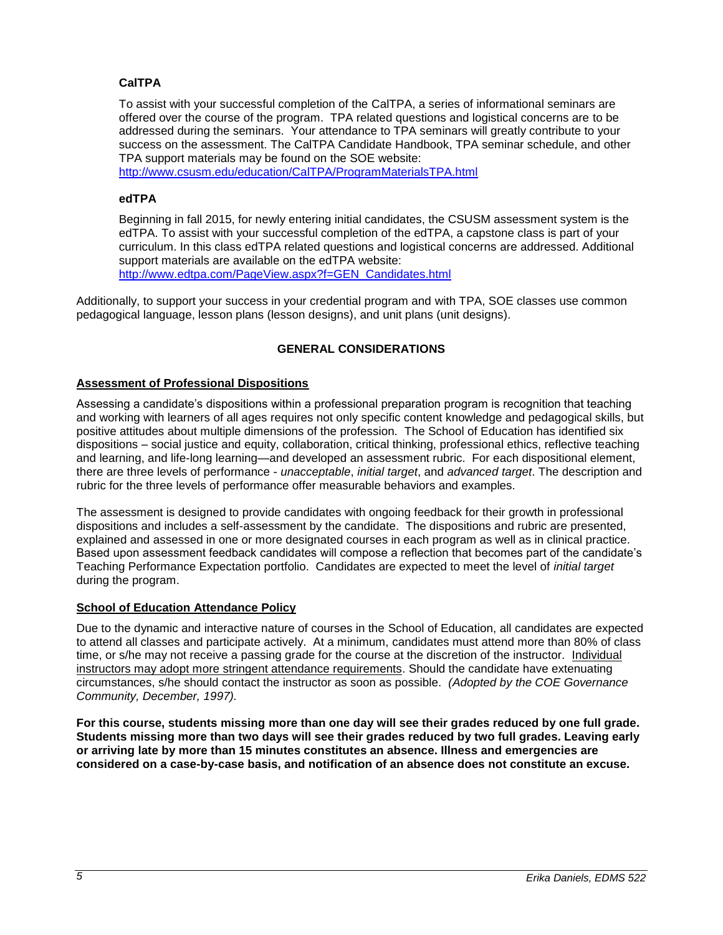## <span id="page-4-0"></span>**CalTPA**

To assist with your successful completion of the CalTPA, a series of informational seminars are offered over the course of the program. TPA related questions and logistical concerns are to be addressed during the seminars. Your attendance to TPA seminars will greatly contribute to your success on the assessment. The CalTPA Candidate Handbook, TPA seminar schedule, and other TPA support materials may be found on the SOE website:

<http://www.csusm.edu/education/CalTPA/ProgramMaterialsTPA.html>

### <span id="page-4-1"></span>**edTPA**

Beginning in fall 2015, for newly entering initial candidates, the CSUSM assessment system is the edTPA. To assist with your successful completion of the edTPA, a capstone class is part of your curriculum. In this class edTPA related questions and logistical concerns are addressed. Additional support materials are available on the edTPA website: [http://www.edtpa.com/PageView.aspx?f=GEN\\_Candidates.html](http://www.edtpa.com/PageView.aspx?f=GEN_Candidates.html)

<span id="page-4-2"></span>Additionally, to support your success in your credential program and with TPA, SOE classes use common pedagogical language, lesson plans (lesson designs), and unit plans (unit designs).

## **GENERAL CONSIDERATIONS**

## <span id="page-4-3"></span>**Assessment of Professional Dispositions**

Assessing a candidate's dispositions within a professional preparation program is recognition that teaching and working with learners of all ages requires not only specific content knowledge and pedagogical skills, but positive attitudes about multiple dimensions of the profession. The School of Education has identified six dispositions – social justice and equity, collaboration, critical thinking, professional ethics, reflective teaching and learning, and life-long learning—and developed an assessment rubric. For each dispositional element, there are three levels of performance - *unacceptable*, *initial target*, and *advanced target*. The description and rubric for the three levels of performance offer measurable behaviors and examples.

The assessment is designed to provide candidates with ongoing feedback for their growth in professional dispositions and includes a self-assessment by the candidate. The dispositions and rubric are presented, explained and assessed in one or more designated courses in each program as well as in clinical practice. Based upon assessment feedback candidates will compose a reflection that becomes part of the candidate's Teaching Performance Expectation portfolio. Candidates are expected to meet the level of *initial target* during the program.

#### <span id="page-4-4"></span>**School of Education Attendance Policy**

Due to the dynamic and interactive nature of courses in the School of Education, all candidates are expected to attend all classes and participate actively. At a minimum, candidates must attend more than 80% of class time, or s/he may not receive a passing grade for the course at the discretion of the instructor. Individual instructors may adopt more stringent attendance requirements. Should the candidate have extenuating circumstances, s/he should contact the instructor as soon as possible. *(Adopted by the COE Governance Community, December, 1997).*

**For this course, students missing more than one day will see their grades reduced by one full grade. Students missing more than two days will see their grades reduced by two full grades. Leaving early or arriving late by more than 15 minutes constitutes an absence. Illness and emergencies are considered on a case-by-case basis, and notification of an absence does not constitute an excuse.**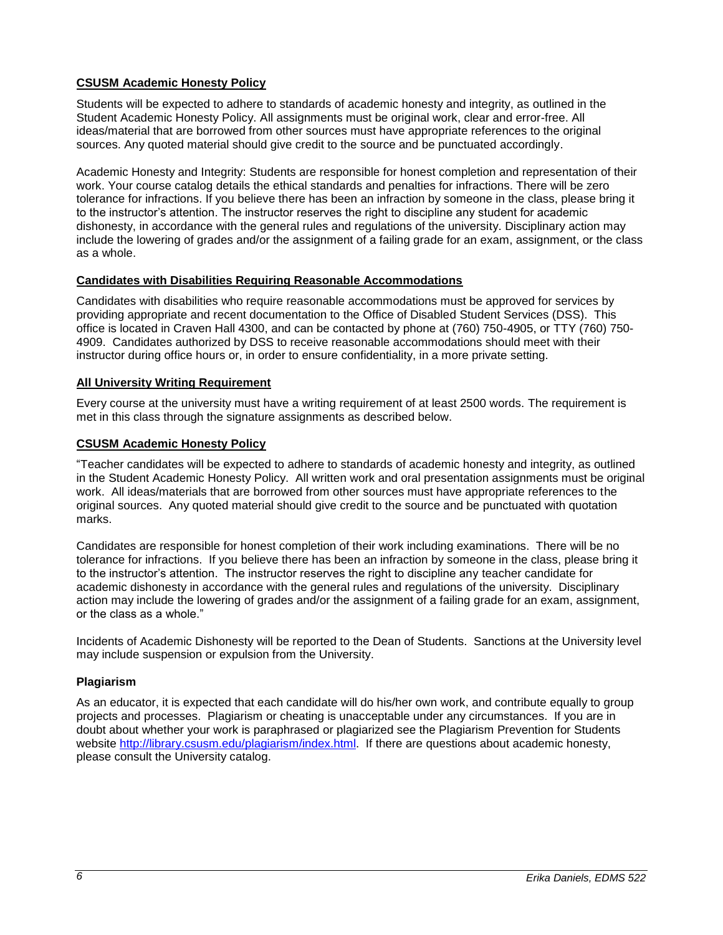## <span id="page-5-0"></span>**CSUSM Academic Honesty Policy**

Students will be expected to adhere to standards of academic honesty and integrity, as outlined in the Student Academic Honesty Policy. All assignments must be original work, clear and error-free. All ideas/material that are borrowed from other sources must have appropriate references to the original sources. Any quoted material should give credit to the source and be punctuated accordingly.

Academic Honesty and Integrity: Students are responsible for honest completion and representation of their work. Your course catalog details the ethical standards and penalties for infractions. There will be zero tolerance for infractions. If you believe there has been an infraction by someone in the class, please bring it to the instructor's attention. The instructor reserves the right to discipline any student for academic dishonesty, in accordance with the general rules and regulations of the university. Disciplinary action may include the lowering of grades and/or the assignment of a failing grade for an exam, assignment, or the class as a whole.

### <span id="page-5-1"></span>**Candidates with Disabilities Requiring Reasonable Accommodations**

Candidates with disabilities who require reasonable accommodations must be approved for services by providing appropriate and recent documentation to the Office of Disabled Student Services (DSS). This office is located in Craven Hall 4300, and can be contacted by phone at (760) 750-4905, or TTY (760) 750- 4909. Candidates authorized by DSS to receive reasonable accommodations should meet with their instructor during office hours or, in order to ensure confidentiality, in a more private setting.

## <span id="page-5-2"></span>**All University Writing Requirement**

Every course at the university must have a writing requirement of at least 2500 words. The requirement is met in this class through the signature assignments as described below.

## <span id="page-5-3"></span>**CSUSM Academic Honesty Policy**

"Teacher candidates will be expected to adhere to standards of academic honesty and integrity, as outlined in the Student Academic Honesty Policy. All written work and oral presentation assignments must be original work. All ideas/materials that are borrowed from other sources must have appropriate references to the original sources. Any quoted material should give credit to the source and be punctuated with quotation marks.

Candidates are responsible for honest completion of their work including examinations. There will be no tolerance for infractions. If you believe there has been an infraction by someone in the class, please bring it to the instructor's attention. The instructor reserves the right to discipline any teacher candidate for academic dishonesty in accordance with the general rules and regulations of the university. Disciplinary action may include the lowering of grades and/or the assignment of a failing grade for an exam, assignment, or the class as a whole."

Incidents of Academic Dishonesty will be reported to the Dean of Students. Sanctions at the University level may include suspension or expulsion from the University.

#### <span id="page-5-4"></span>**Plagiarism**

As an educator, it is expected that each candidate will do his/her own work, and contribute equally to group projects and processes. Plagiarism or cheating is unacceptable under any circumstances. If you are in doubt about whether your work is paraphrased or plagiarized see the Plagiarism Prevention for Students website [http://library.csusm.edu/plagiarism/index.html.](http://library.csusm.edu/plagiarism/index.html) If there are questions about academic honesty, please consult the University catalog.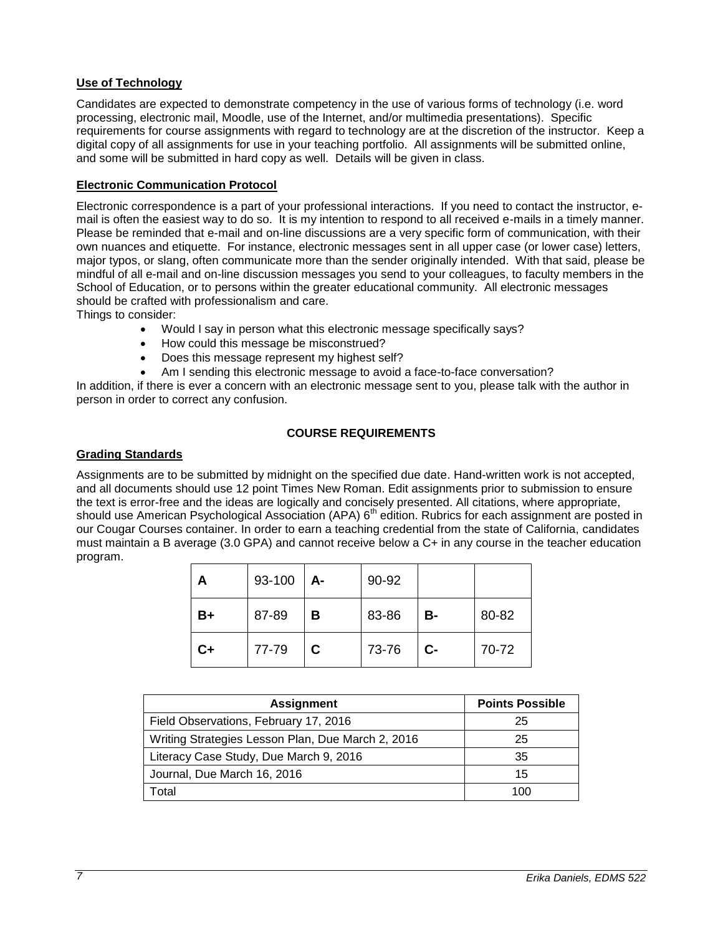## <span id="page-6-0"></span>**Use of Technology**

Candidates are expected to demonstrate competency in the use of various forms of technology (i.e. word processing, electronic mail, Moodle, use of the Internet, and/or multimedia presentations). Specific requirements for course assignments with regard to technology are at the discretion of the instructor. Keep a digital copy of all assignments for use in your teaching portfolio. All assignments will be submitted online, and some will be submitted in hard copy as well. Details will be given in class.

## <span id="page-6-1"></span>**Electronic Communication Protocol**

Electronic correspondence is a part of your professional interactions. If you need to contact the instructor, email is often the easiest way to do so. It is my intention to respond to all received e-mails in a timely manner. Please be reminded that e-mail and on-line discussions are a very specific form of communication, with their own nuances and etiquette. For instance, electronic messages sent in all upper case (or lower case) letters, major typos, or slang, often communicate more than the sender originally intended. With that said, please be mindful of all e-mail and on-line discussion messages you send to your colleagues, to faculty members in the School of Education, or to persons within the greater educational community. All electronic messages should be crafted with professionalism and care.

Things to consider:

- Would I say in person what this electronic message specifically says?
- How could this message be misconstrued?
- Does this message represent my highest self?
- Am I sending this electronic message to avoid a face-to-face conversation?

In addition, if there is ever a concern with an electronic message sent to you, please talk with the author in person in order to correct any confusion.

## **COURSE REQUIREMENTS**

## <span id="page-6-3"></span><span id="page-6-2"></span>**Grading Standards**

Assignments are to be submitted by midnight on the specified due date. Hand-written work is not accepted, and all documents should use 12 point Times New Roman. Edit assignments prior to submission to ensure the text is error-free and the ideas are logically and concisely presented. All citations, where appropriate, should use American Psychological Association (APA) 6<sup>th</sup> edition. Rubrics for each assignment are posted in our Cougar Courses container. In order to earn a teaching credential from the state of California, candidates must maintain a B average (3.0 GPA) and cannot receive below a C+ in any course in the teacher education program.

| Α  | 93-100 | А- | 90-92 |      |       |
|----|--------|----|-------|------|-------|
| B+ | 87-89  | в  | 83-86 | В-   | 80-82 |
| C+ | 77-79  | C. | 73-76 | $C-$ | 70-72 |

| <b>Assignment</b>                                 | <b>Points Possible</b> |
|---------------------------------------------------|------------------------|
| Field Observations, February 17, 2016             | 25                     |
| Writing Strategies Lesson Plan, Due March 2, 2016 | 25                     |
| Literacy Case Study, Due March 9, 2016            | 35                     |
| Journal, Due March 16, 2016                       | 15                     |
| Гоtal                                             | 100                    |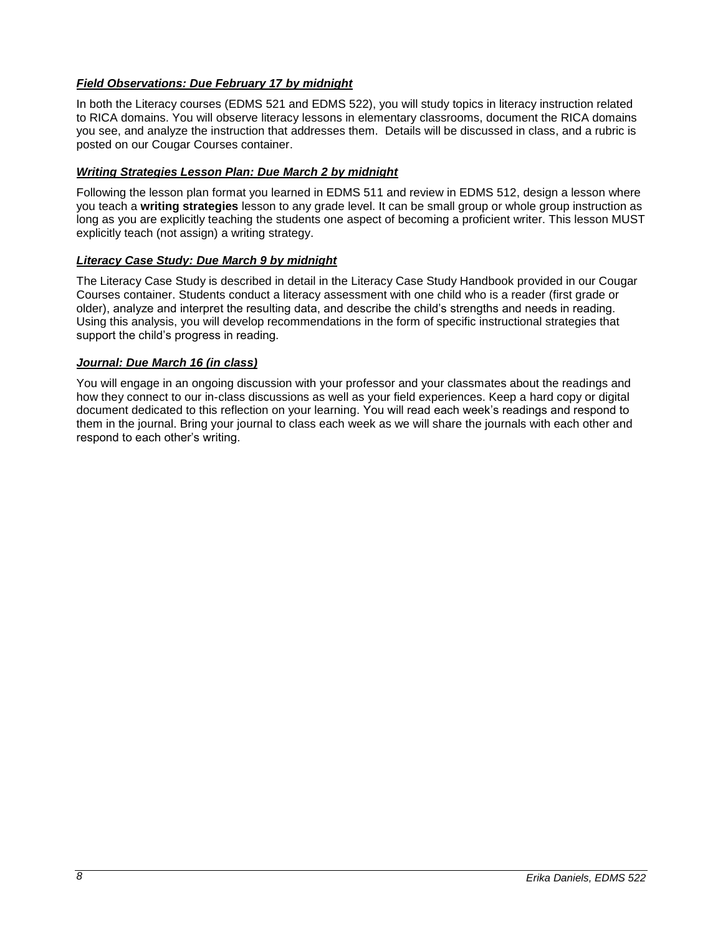## <span id="page-7-0"></span>*Field Observations: Due February 17 by midnight*

In both the Literacy courses (EDMS 521 and EDMS 522), you will study topics in literacy instruction related to RICA domains. You will observe literacy lessons in elementary classrooms, document the RICA domains you see, and analyze the instruction that addresses them. Details will be discussed in class, and a rubric is posted on our Cougar Courses container.

## <span id="page-7-1"></span>*Writing Strategies Lesson Plan: Due March 2 by midnight*

Following the lesson plan format you learned in EDMS 511 and review in EDMS 512, design a lesson where you teach a **writing strategies** lesson to any grade level. It can be small group or whole group instruction as long as you are explicitly teaching the students one aspect of becoming a proficient writer. This lesson MUST explicitly teach (not assign) a writing strategy.

## <span id="page-7-2"></span>*Literacy Case Study: Due March 9 by midnight*

The Literacy Case Study is described in detail in the Literacy Case Study Handbook provided in our Cougar Courses container. Students conduct a literacy assessment with one child who is a reader (first grade or older), analyze and interpret the resulting data, and describe the child's strengths and needs in reading. Using this analysis, you will develop recommendations in the form of specific instructional strategies that support the child's progress in reading.

### <span id="page-7-3"></span>*Journal: Due March 16 (in class)*

You will engage in an ongoing discussion with your professor and your classmates about the readings and how they connect to our in-class discussions as well as your field experiences. Keep a hard copy or digital document dedicated to this reflection on your learning. You will read each week's readings and respond to them in the journal. Bring your journal to class each week as we will share the journals with each other and respond to each other's writing.